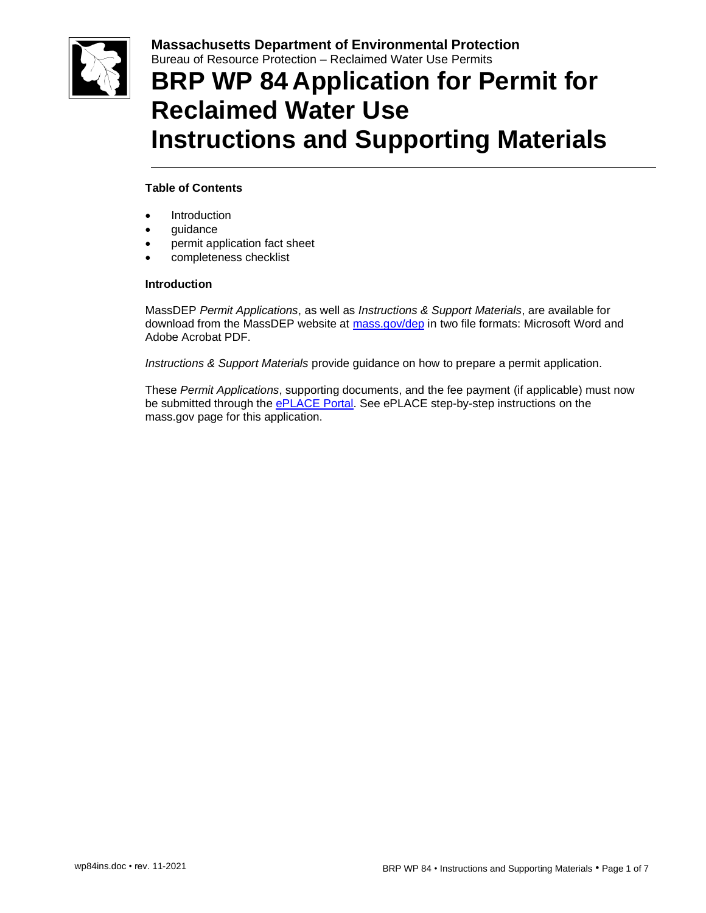

## **BRP WP 84 Application for Permit for Reclaimed Water Use Instructions and Supporting Materials**

## **Table of Contents**

- **Introduction**
- guidance
- permit application fact sheet
- completeness checklist

### **Introduction**

MassDEP *Permit Applications*, as well as *Instructions & Support Materials*, are available for download from the MassDEP website at [mass.gov/dep](https://www.mass.gov/dep) in two file formats: Microsoft Word and Adobe Acrobat PDF.

*Instructions & Support Materials* provide guidance on how to prepare a permit application.

These *Permit Applications*, supporting documents, and the fee payment (if applicable) must now be submitted through the [ePLACE Portal.](https://eplace.eea.mass.gov/citizenaccess/Default.aspx) See ePLACE step-by-step instructions on the mass.gov page for this application.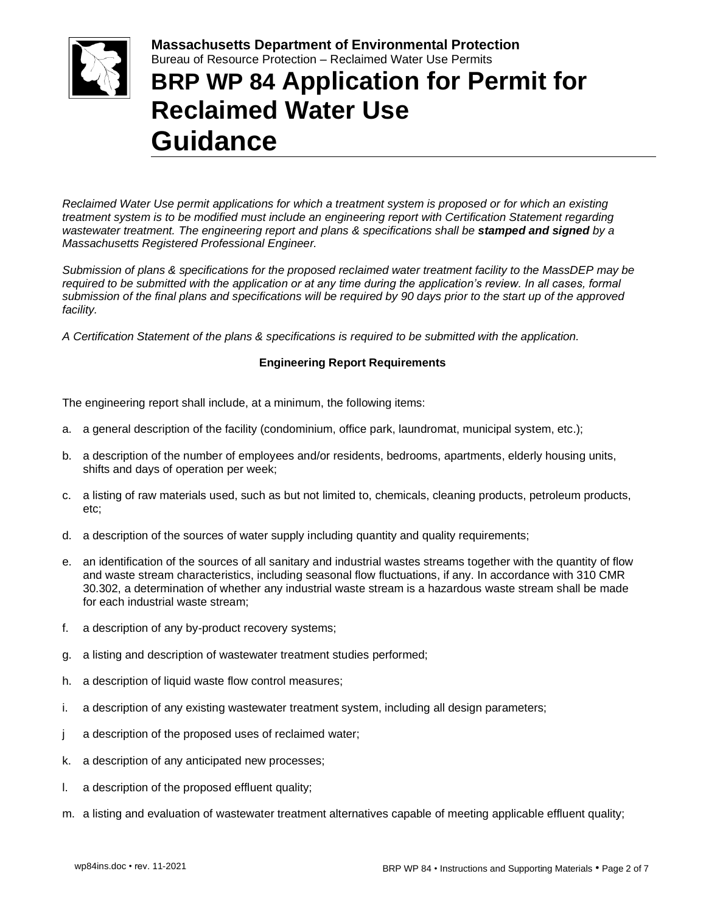

# **BRP WP 84 Application for Permit for Reclaimed Water Use Guidance**

*Reclaimed Water Use permit applications for which a treatment system is proposed or for which an existing treatment system is to be modified must include an engineering report with Certification Statement regarding wastewater treatment. The engineering report and plans & specifications shall be stamped and signed by a Massachusetts Registered Professional Engineer.*

*Submission of plans & specifications for the proposed reclaimed water treatment facility to the MassDEP may be required to be submitted with the application or at any time during the application's review. In all cases, formal submission of the final plans and specifications will be required by 90 days prior to the start up of the approved facility.*

*A Certification Statement of the plans & specifications is required to be submitted with the application.*

## **Engineering Report Requirements**

The engineering report shall include, at a minimum, the following items:

- a. a general description of the facility (condominium, office park, laundromat, municipal system, etc.);
- b. a description of the number of employees and/or residents, bedrooms, apartments, elderly housing units, shifts and days of operation per week;
- c. a listing of raw materials used, such as but not limited to, chemicals, cleaning products, petroleum products, etc;
- d. a description of the sources of water supply including quantity and quality requirements;
- e. an identification of the sources of all sanitary and industrial wastes streams together with the quantity of flow and waste stream characteristics, including seasonal flow fluctuations, if any. In accordance with 310 CMR 30.302, a determination of whether any industrial waste stream is a hazardous waste stream shall be made for each industrial waste stream;
- f. a description of any by-product recovery systems;
- g. a listing and description of wastewater treatment studies performed;
- h. a description of liquid waste flow control measures;
- i. a description of any existing wastewater treatment system, including all design parameters;
- j a description of the proposed uses of reclaimed water;
- k. a description of any anticipated new processes;
- l. a description of the proposed effluent quality;
- m. a listing and evaluation of wastewater treatment alternatives capable of meeting applicable effluent quality;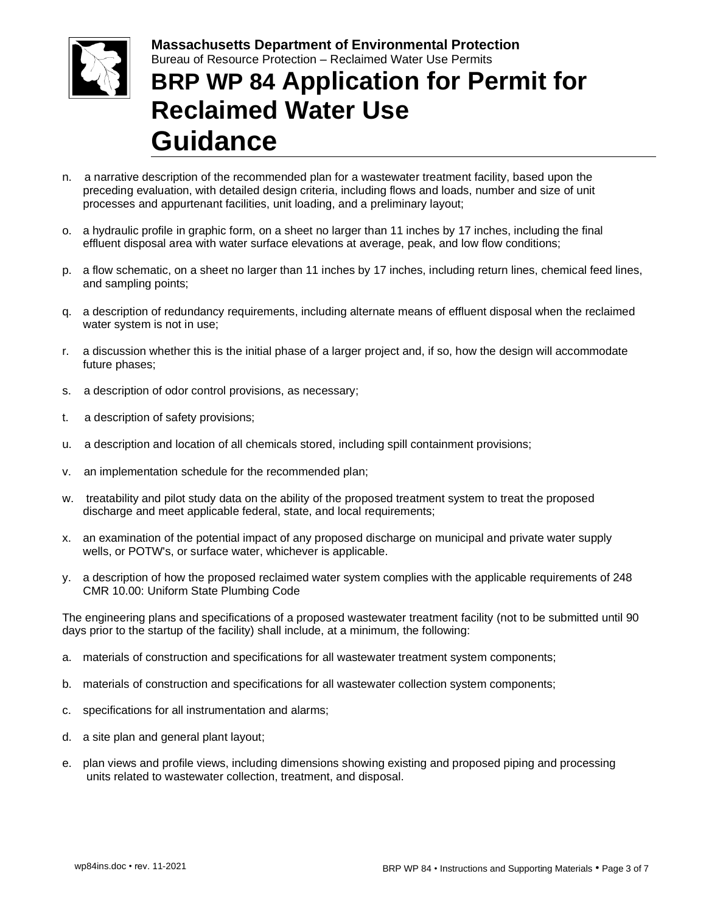

# **BRP WP 84 Application for Permit for Reclaimed Water Use Guidance**

- n. a narrative description of the recommended plan for a wastewater treatment facility, based upon the preceding evaluation, with detailed design criteria, including flows and loads, number and size of unit processes and appurtenant facilities, unit loading, and a preliminary layout;
- o. a hydraulic profile in graphic form, on a sheet no larger than 11 inches by 17 inches, including the final effluent disposal area with water surface elevations at average, peak, and low flow conditions;
- p. a flow schematic, on a sheet no larger than 11 inches by 17 inches, including return lines, chemical feed lines, and sampling points;
- q. a description of redundancy requirements, including alternate means of effluent disposal when the reclaimed water system is not in use;
- r. a discussion whether this is the initial phase of a larger project and, if so, how the design will accommodate future phases;
- s. a description of odor control provisions, as necessary;
- t. a description of safety provisions;
- u. a description and location of all chemicals stored, including spill containment provisions;
- v. an implementation schedule for the recommended plan;
- w. treatability and pilot study data on the ability of the proposed treatment system to treat the proposed discharge and meet applicable federal, state, and local requirements;
- x. an examination of the potential impact of any proposed discharge on municipal and private water supply wells, or POTW's, or surface water, whichever is applicable.
- y. a description of how the proposed reclaimed water system complies with the applicable requirements of 248 CMR 10.00: Uniform State Plumbing Code

The engineering plans and specifications of a proposed wastewater treatment facility (not to be submitted until 90 days prior to the startup of the facility) shall include, at a minimum, the following:

- a. materials of construction and specifications for all wastewater treatment system components;
- b. materials of construction and specifications for all wastewater collection system components;
- c. specifications for all instrumentation and alarms;
- d. a site plan and general plant layout;
- e. plan views and profile views, including dimensions showing existing and proposed piping and processing units related to wastewater collection, treatment, and disposal.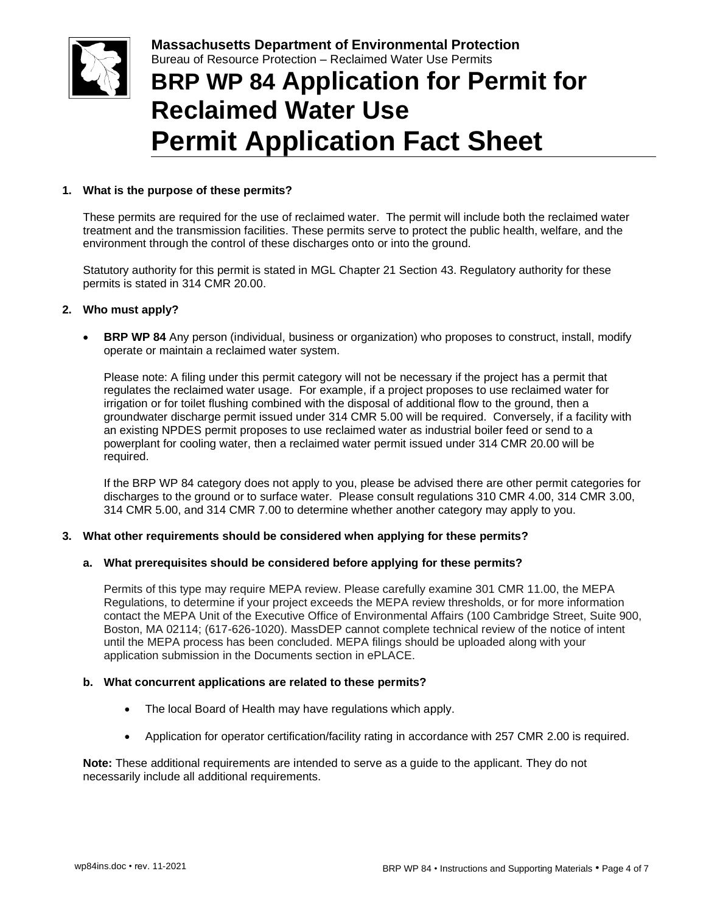

# **BRP WP 84 Application for Permit for Reclaimed Water Use Permit Application Fact Sheet**

### **1. What is the purpose of these permits?**

These permits are required for the use of reclaimed water. The permit will include both the reclaimed water treatment and the transmission facilities. These permits serve to protect the public health, welfare, and the environment through the control of these discharges onto or into the ground.

Statutory authority for this permit is stated in MGL Chapter 21 Section 43. Regulatory authority for these permits is stated in 314 CMR 20.00.

### **2. Who must apply?**

**BRP WP 84** Any person (individual, business or organization) who proposes to construct, install, modify operate or maintain a reclaimed water system.

Please note: A filing under this permit category will not be necessary if the project has a permit that regulates the reclaimed water usage. For example, if a project proposes to use reclaimed water for irrigation or for toilet flushing combined with the disposal of additional flow to the ground, then a groundwater discharge permit issued under 314 CMR 5.00 will be required. Conversely, if a facility with an existing NPDES permit proposes to use reclaimed water as industrial boiler feed or send to a powerplant for cooling water, then a reclaimed water permit issued under 314 CMR 20.00 will be required.

If the BRP WP 84 category does not apply to you, please be advised there are other permit categories for discharges to the ground or to surface water. Please consult regulations 310 CMR 4.00, 314 CMR 3.00, 314 CMR 5.00, and 314 CMR 7.00 to determine whether another category may apply to you.

### **3. What other requirements should be considered when applying for these permits?**

### **a. What prerequisites should be considered before applying for these permits?**

Permits of this type may require MEPA review. Please carefully examine 301 CMR 11.00, the MEPA Regulations, to determine if your project exceeds the MEPA review thresholds, or for more information contact the MEPA Unit of the Executive Office of Environmental Affairs (100 Cambridge Street, Suite 900, Boston, MA 02114; (617-626-1020). MassDEP cannot complete technical review of the notice of intent until the MEPA process has been concluded. MEPA filings should be uploaded along with your application submission in the Documents section in ePLACE.

### **b. What concurrent applications are related to these permits?**

- The local Board of Health may have regulations which apply.
- Application for operator certification/facility rating in accordance with 257 CMR 2.00 is required.

**Note:** These additional requirements are intended to serve as a guide to the applicant. They do not necessarily include all additional requirements.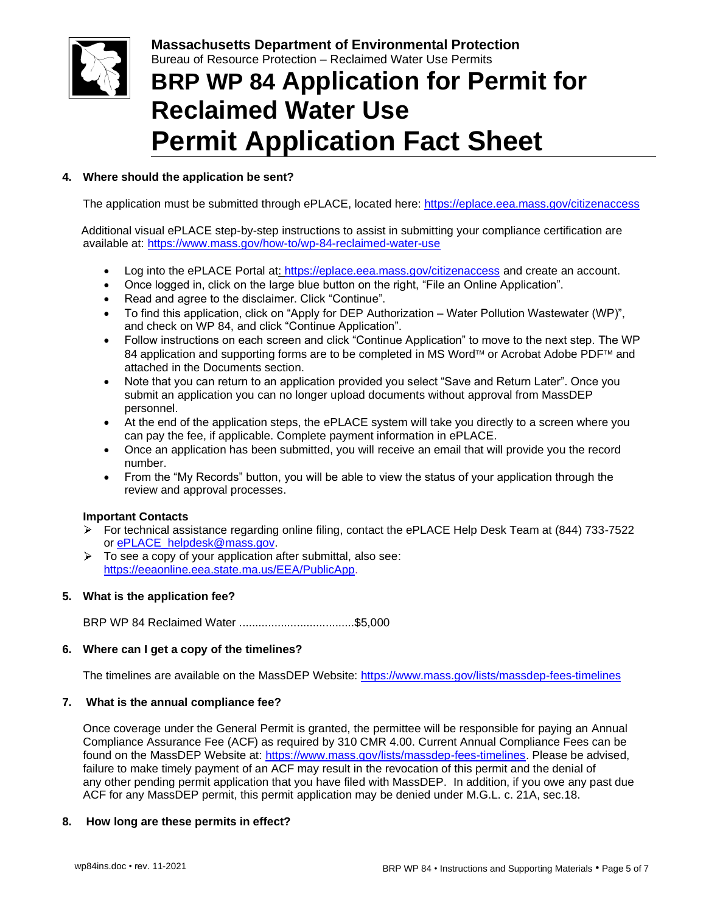

# **BRP WP 84 Application for Permit for Reclaimed Water Use Permit Application Fact Sheet**

## **4. Where should the application be sent?**

The application must be submitted through ePLACE, located here: <https://eplace.eea.mass.gov/citizenaccess>

 Additional visual ePLACE step-by-step instructions to assist in submitting your compliance certification are available at: <https://www.mass.gov/how-to/wp-84-reclaimed-water-use>

- Log into the ePLACE Portal at: https://eplace.eea.mass.gov/citizenaccess and create an account.
- Once logged in, click on the large blue button on the right, "File an Online Application".
- Read and agree to the disclaimer. Click "Continue".
- To find this application, click on "Apply for DEP Authorization Water Pollution Wastewater (WP)", and check on WP 84, and click "Continue Application".
- Follow instructions on each screen and click "Continue Application" to move to the next step. The WP 84 application and supporting forms are to be completed in MS Word™ or Acrobat Adobe PDF™ and attached in the Documents section.
- Note that you can return to an application provided you select "Save and Return Later". Once you submit an application you can no longer upload documents without approval from MassDEP personnel.
- At the end of the application steps, the ePLACE system will take you directly to a screen where you can pay the fee, if applicable. Complete payment information in ePLACE.
- Once an application has been submitted, you will receive an email that will provide you the record number.
- From the "My Records" button, you will be able to view the status of your application through the review and approval processes.

## **Important Contacts**

- For technical assistance regarding online filing, contact the ePLACE Help Desk Team at (844) 733-7522 or ePLACE\_helpdesk@mass.gov.
- $\triangleright$  To see a copy of your application after submittal, also see: [https://eeaonline.eea.state.ma.us/EEA/PublicApp.](https://eeaonline.eea.state.ma.us/EEA/PublicApp)

## **5. What is the application fee?**

BRP WP 84 Reclaimed Water ....................................\$5,000

### **6. Where can I get a copy of the timelines?**

The timelines are available on the MassDEP Website:<https://www.mass.gov/lists/massdep-fees-timelines>

### **7. What is the annual compliance fee?**

Once coverage under the General Permit is granted, the permittee will be responsible for paying an Annual Compliance Assurance Fee (ACF) as required by 310 CMR 4.00. Current Annual Compliance Fees can be found on the MassDEP Website at: [https://www.mass.gov/lists/massdep-fees-timelines.](https://www.mass.gov/lists/massdep-fees-timelines) Please be advised, failure to make timely payment of an ACF may result in the revocation of this permit and the denial of any other pending permit application that you have filed with MassDEP. In addition, if you owe any past due ACF for any MassDEP permit, this permit application may be denied under M.G.L. c. 21A, sec.18.

## **8. How long are these permits in effect?**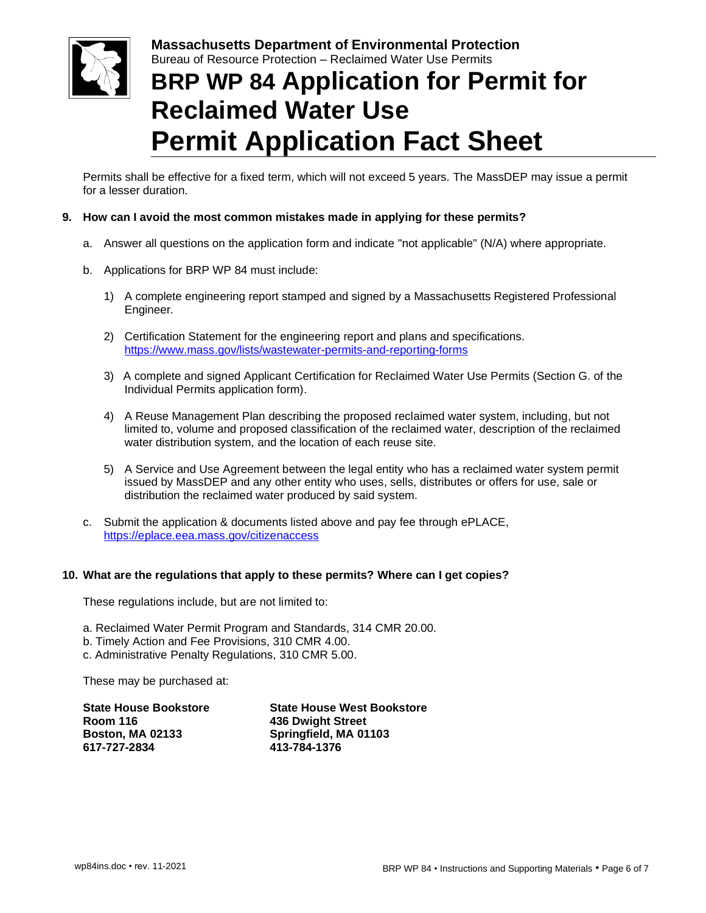

# **BRP WP 84 Application for Permit for Reclaimed Water Use Permit Application Fact Sheet**

Permits shall be effective for a fixed term, which will not exceed 5 years. The MassDEP may issue a permit for a lesser duration.

### **9. How can I avoid the most common mistakes made in applying for these permits?**

- a. Answer all questions on the application form and indicate "not applicable" (N/A) where appropriate.
- b. Applications for BRP WP 84 must include:
	- 1) A complete engineering report stamped and signed by a Massachusetts Registered Professional Engineer.
	- 2) Certification Statement for the engineering report and plans and specifications. <https://www.mass.gov/lists/wastewater-permits-and-reporting-forms>
	- 3) A complete and signed Applicant Certification for Reclaimed Water Use Permits (Section G. of the Individual Permits application form).
	- 4) A Reuse Management Plan describing the proposed reclaimed water system, including, but not limited to, volume and proposed classification of the reclaimed water, description of the reclaimed water distribution system, and the location of each reuse site.
	- 5) A Service and Use Agreement between the legal entity who has a reclaimed water system permit issued by MassDEP and any other entity who uses, sells, distributes or offers for use, sale or distribution the reclaimed water produced by said system.
- c. Submit the application & documents listed above and pay fee through ePLACE, <https://eplace.eea.mass.gov/citizenaccess>

### **10. What are the regulations that apply to these permits? Where can I get copies?**

These regulations include, but are not limited to:

- a. Reclaimed Water Permit Program and Standards, 314 CMR 20.00.
- b. Timely Action and Fee Provisions, 310 CMR 4.00.
- c. Administrative Penalty Regulations, 310 CMR 5.00.

These may be purchased at:

| <b>State House West Bookstore</b> |
|-----------------------------------|
| <b>436 Dwight Street</b>          |
| Springfield, MA 01103             |
| 413-784-1376                      |
|                                   |